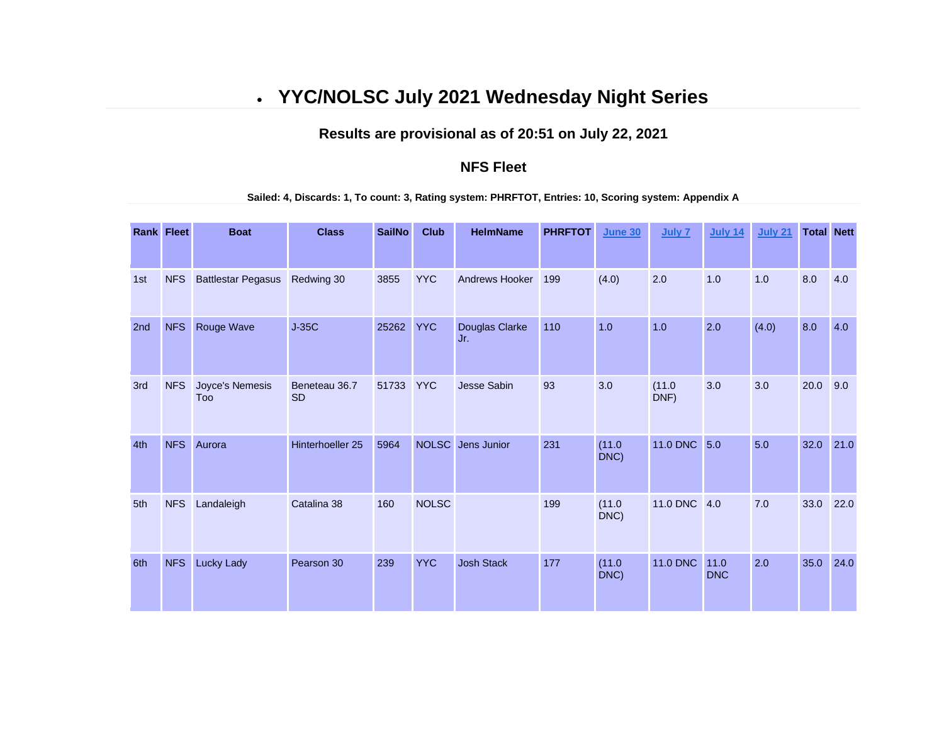# • **YYC/NOLSC July 2021 Wednesday Night Series**

### **Results are provisional as of 20:51 on July 22, 2021**

### **NFS Fleet**

#### **Sailed: 4, Discards: 1, To count: 3, Rating system: PHRFTOT, Entries: 10, Scoring system: Appendix A**

| <b>Rank Fleet</b> |            | <b>Boat</b>               | <b>Class</b>               | <b>SailNo</b> | <b>Club</b>  | <b>HelmName</b>       | <b>PHRFTOT</b> | <b>June 30</b> | <b>July 7</b>   | <b>July 14</b>     | <b>July 21</b> | <b>Total Nett</b> |      |
|-------------------|------------|---------------------------|----------------------------|---------------|--------------|-----------------------|----------------|----------------|-----------------|--------------------|----------------|-------------------|------|
|                   |            |                           |                            |               |              |                       |                |                |                 |                    |                |                   |      |
| 1st               | <b>NFS</b> | <b>Battlestar Pegasus</b> | Redwing 30                 | 3855          | <b>YYC</b>   | <b>Andrews Hooker</b> | 199            | (4.0)          | 2.0             | 1.0                | 1.0            | 8.0               | 4.0  |
| 2nd               | <b>NFS</b> | Rouge Wave                | $J-35C$                    | 25262         | <b>YYC</b>   | Douglas Clarke<br>Jr. | 110            | 1.0            | 1.0             | 2.0                | (4.0)          | 8.0               | 4.0  |
| 3rd               | <b>NFS</b> | Joyce's Nemesis<br>Too    | Beneteau 36.7<br><b>SD</b> | 51733         | <b>YYC</b>   | Jesse Sabin           | 93             | 3.0            | (11.0)<br>DNF)  | 3.0                | 3.0            | 20.0              | 9.0  |
| 4th               | <b>NFS</b> | Aurora                    | Hinterhoeller 25           | 5964          |              | NOLSC Jens Junior     | 231            | (11.0)<br>DNC) | 11.0 DNC 5.0    |                    | 5.0            | 32.0              | 21.0 |
| 5th               | <b>NFS</b> | Landaleigh                | Catalina 38                | 160           | <b>NOLSC</b> |                       | 199            | (11.0)<br>DNC) | <b>11.0 DNC</b> | 4.0                | 7.0            | 33.0              | 22.0 |
| 6th               | <b>NFS</b> | <b>Lucky Lady</b>         | Pearson 30                 | 239           | <b>YYC</b>   | <b>Josh Stack</b>     | 177            | (11.0)<br>DNC) | <b>11.0 DNC</b> | 11.0<br><b>DNC</b> | 2.0            | 35.0              | 24.0 |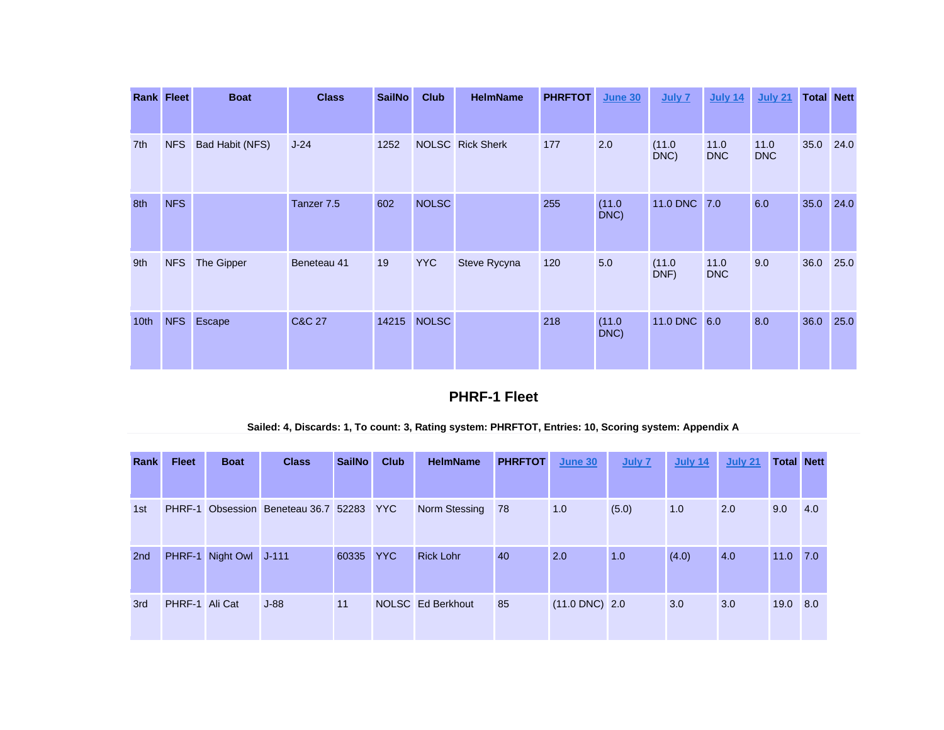|                  | <b>Rank Fleet</b> | <b>Boat</b>     | <b>Class</b>      | <b>SailNo</b> | <b>Club</b>  | <b>HelmName</b>         | <b>PHRFTOT</b> | <b>June 30</b> | July 7         | <b>July 14</b>     | <b>July 21</b>     | <b>Total Nett</b> |      |
|------------------|-------------------|-----------------|-------------------|---------------|--------------|-------------------------|----------------|----------------|----------------|--------------------|--------------------|-------------------|------|
|                  |                   |                 |                   |               |              |                         |                |                |                |                    |                    |                   |      |
| 7th              | <b>NFS</b>        | Bad Habit (NFS) | $J-24$            | 1252          |              | <b>NOLSC</b> Rick Sherk | 177            | 2.0            | (11.0)<br>DNC) | 11.0<br><b>DNC</b> | 11.0<br><b>DNC</b> | 35.0              | 24.0 |
| 8th              | <b>NFS</b>        |                 | Tanzer 7.5        | 602           | <b>NOLSC</b> |                         | 255            | (11.0)<br>DNC) | 11.0 DNC       | 7.0                | 6.0                | 35.0              | 24.0 |
| 9th              | <b>NFS</b>        | The Gipper      | Beneteau 41       | 19            | <b>YYC</b>   | Steve Rycyna            | 120            | 5.0            | (11.0)<br>DNF) | 11.0<br><b>DNC</b> | 9.0                | 36.0              | 25.0 |
| 10 <sub>th</sub> | <b>NFS</b>        | Escape          | <b>C&amp;C 27</b> | 14215         | <b>NOLSC</b> |                         | 218            | (11.0)<br>DNC) | 11.0 DNC 6.0   |                    | 8.0                | 36.0              | 25.0 |

## **PHRF-1 Fleet**

| Sailed: 4, Discards: 1, To count: 3, Rating system: PHRFTOT, Entries: 10, Scoring system: Appendix A |  |  |
|------------------------------------------------------------------------------------------------------|--|--|
|------------------------------------------------------------------------------------------------------|--|--|

| Rank            | <b>Fleet</b>   | <b>Boat</b>            | <b>Class</b>                      | <b>SailNo</b> | <b>Club</b> | <b>HelmName</b>          | <b>PHRFTOT</b> | June 30                  | July 7 | <b>July 14</b> | July 21 | <b>Total Nett</b> |     |
|-----------------|----------------|------------------------|-----------------------------------|---------------|-------------|--------------------------|----------------|--------------------------|--------|----------------|---------|-------------------|-----|
|                 |                |                        |                                   |               |             |                          |                |                          |        |                |         |                   |     |
| 1st             | PHRF-1         |                        | Obsession Beneteau 36.7 52283 YYC |               |             | Norm Stessing            | 78             | 1.0                      | (5.0)  | 1.0            | 2.0     | 9.0               | 4.0 |
| 2 <sub>nd</sub> |                | PHRF-1 Night Owl J-111 |                                   | 60335 YYC     |             | <b>Rick Lohr</b>         | 40             | 2.0                      | 1.0    | (4.0)          | 4.0     | $11.0$ 7.0        |     |
| 3rd             | PHRF-1 Ali Cat |                        | $J-88$                            | 11            |             | <b>NOLSC</b> Ed Berkhout | 85             | $(11.0 \text{ DNC})$ 2.0 |        | 3.0            | 3.0     | 19.0 8.0          |     |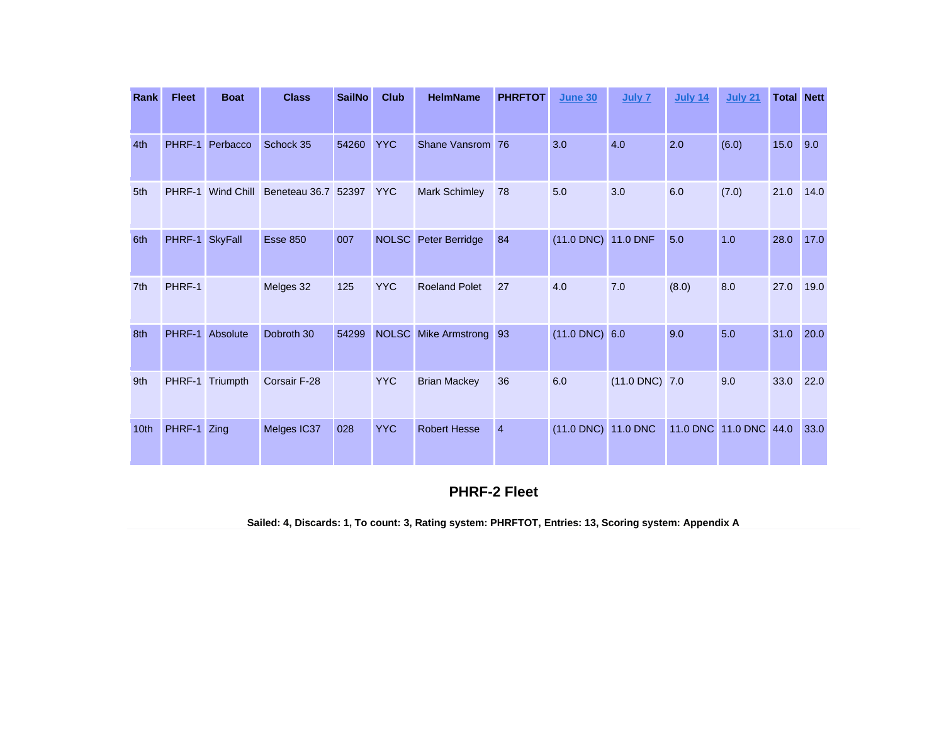| Rank            | <b>Fleet</b> | <b>Boat</b>    | <b>Class</b>    | <b>SailNo</b> | <b>Club</b>  | <b>HelmName</b>      | <b>PHRFTOT</b> | <b>June 30</b>      | July 7              | <b>July 14</b> | <b>July 21</b> | <b>Total Nett</b> |      |
|-----------------|--------------|----------------|-----------------|---------------|--------------|----------------------|----------------|---------------------|---------------------|----------------|----------------|-------------------|------|
|                 |              |                |                 |               |              |                      |                |                     |                     |                |                |                   |      |
| 4th             | PHRF-1       | Perbacco       | Schock 35       | 54260         | <b>YYC</b>   | Shane Vansrom        | 76             | 3.0                 | 4.0                 | 2.0            | (6.0)          | 15.0              | 9.0  |
| 5th             | PHRF-1       | Wind Chill     | Beneteau 36.7   | 52397         | <b>YYC</b>   | <b>Mark Schimley</b> | 78             | 5.0                 | 3.0                 | 6.0            | (7.0)          | 21.0              | 14.0 |
| 6th             | PHRF-1       | <b>SkyFall</b> | <b>Esse 850</b> | 007           | <b>NOLSC</b> | Peter Berridge       | 84             | (11.0 DNC) 11.0 DNF |                     | 5.0            | 1.0            | 28.0              | 17.0 |
| 7 <sup>th</sup> | PHRF-1       |                | Melges 32       | 125           | <b>YYC</b>   | <b>Roeland Polet</b> | 27             | 4.0                 | 7.0                 | (8.0)          | 8.0            | 27.0              | 19.0 |
| 8th             | PHRF-1       | Absolute       | Dobroth 30      | 54299         | <b>NOLSC</b> | Mike Armstrong       | 93             | $(11.0$ DNC $)$ 6.0 |                     | 9.0            | 5.0            | 31.0              | 20.0 |
| 9th             | PHRF-1       | Triumpth       | Corsair F-28    |               | <b>YYC</b>   | <b>Brian Mackey</b>  | 36             | 6.0                 | $(11.0$ DNC $)$ 7.0 |                | 9.0            | 33.0              | 22.0 |
| 10th            | PHRF-1       | Zing           | Melges IC37     | 028           | <b>YYC</b>   | <b>Robert Hesse</b>  | $\overline{4}$ | (11.0 DNC) 11.0 DNC |                     | 11.0 DNC       | 11.0 DNC 44.0  |                   | 33.0 |

# **PHRF-2 Fleet**

**Sailed: 4, Discards: 1, To count: 3, Rating system: PHRFTOT, Entries: 13, Scoring system: Appendix A**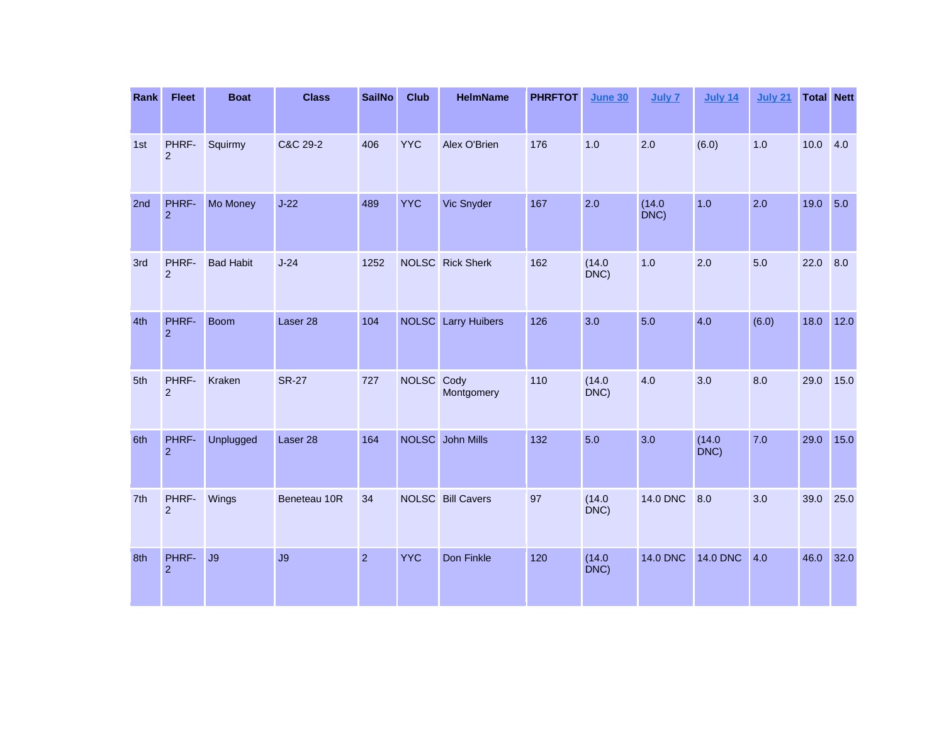| Rank | <b>Fleet</b>            | <b>Boat</b>      | <b>Class</b> | <b>SailNo</b>  | Club       | <b>HelmName</b>            | <b>PHRFTOT</b> | <b>June 30</b> | July 7          | <b>July 14</b>  | July 21 | <b>Total Nett</b> |        |
|------|-------------------------|------------------|--------------|----------------|------------|----------------------------|----------------|----------------|-----------------|-----------------|---------|-------------------|--------|
| 1st  | PHRF-<br>$\overline{2}$ | Squirmy          | C&C 29-2     | 406            | <b>YYC</b> | Alex O'Brien               | 176            | 1.0            | 2.0             | (6.0)           | 1.0     | 10.0              | 4.0    |
| 2nd  | PHRF-<br>$\overline{2}$ | Mo Money         | $J-22$       | 489            | <b>YYC</b> | Vic Snyder                 | 167            | 2.0            | (14.0)<br>DNC)  | 1.0             | 2.0     | 19.0 5.0          |        |
| 3rd  | PHRF-<br>$\overline{2}$ | <b>Bad Habit</b> | $J-24$       | 1252           |            | <b>NOLSC</b> Rick Sherk    | 162            | (14.0)<br>DNC) | 1.0             | 2.0             | 5.0     | 22.0              | 8.0    |
| 4th  | PHRF-<br>$\overline{2}$ | <b>Boom</b>      | Laser 28     | 104            |            | <b>NOLSC</b> Larry Huibers | 126            | 3.0            | 5.0             | 4.0             | (6.0)   | 18.0              | $12.0$ |
| 5th  | PHRF-<br>$\overline{2}$ | Kraken           | <b>SR-27</b> | 727            | NOLSC Cody | Montgomery                 | 110            | (14.0)<br>DNC) | 4.0             | 3.0             | 8.0     | 29.0              | 15.0   |
| 6th  | PHRF-<br>2              | Unplugged        | Laser 28     | 164            |            | NOLSC John Mills           | 132            | 5.0            | 3.0             | (14.0)<br>DNC)  | 7.0     | 29.0              | 15.0   |
| 7th  | PHRF-<br>2              | Wings            | Beneteau 10R | 34             |            | NOLSC Bill Cavers          | 97             | (14.0)<br>DNC) | <b>14.0 DNC</b> | 8.0             | 3.0     | 39.0              | 25.0   |
| 8th  | PHRF-<br>$\overline{2}$ | J9               | J9           | $\overline{2}$ | <b>YYC</b> | Don Finkle                 | 120            | (14.0)<br>DNC) | <b>14.0 DNC</b> | <b>14.0 DNC</b> | 4.0     | 46.0              | 32.0   |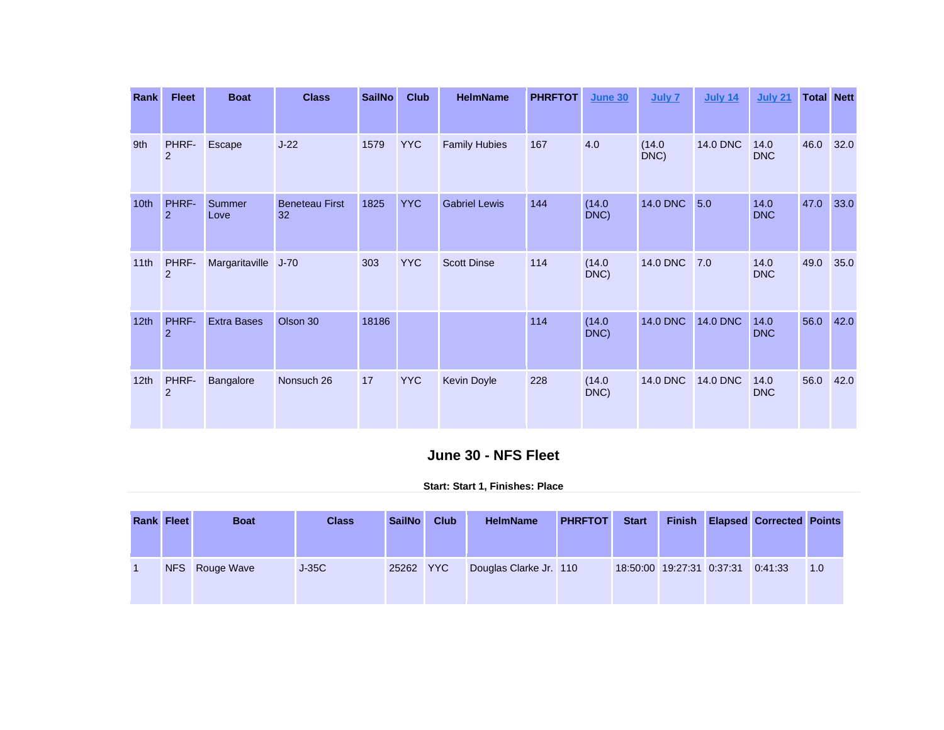| Rank             | <b>Fleet</b>            | <b>Boat</b>        | <b>Class</b>                | <b>SailNo</b> | <b>Club</b> | <b>HelmName</b>      | <b>PHRFTOT</b> | <b>June 30</b> | July 7          | <b>July 14</b>  | <b>July 21</b>     | <b>Total Nett</b> |      |
|------------------|-------------------------|--------------------|-----------------------------|---------------|-------------|----------------------|----------------|----------------|-----------------|-----------------|--------------------|-------------------|------|
| 9th              | PHRF-<br>$\overline{2}$ | <b>Escape</b>      | $J-22$                      | 1579          | <b>YYC</b>  | <b>Family Hubies</b> | 167            | 4.0            | (14.0)<br>DNC)  | <b>14.0 DNC</b> | 14.0<br><b>DNC</b> | 46.0              | 32.0 |
| 10th             | PHRF-<br>$\overline{2}$ | Summer<br>Love     | <b>Beneteau First</b><br>32 | 1825          | <b>YYC</b>  | <b>Gabriel Lewis</b> | 144            | (14.0)<br>DNC) | <b>14.0 DNC</b> | 5.0             | 14.0<br><b>DNC</b> | 47.0              | 33.0 |
| 11th             | PHRF-<br>$\overline{2}$ | Margaritaville     | $J-70$                      | 303           | <b>YYC</b>  | <b>Scott Dinse</b>   | 114            | (14.0)<br>DNC) | <b>14.0 DNC</b> | 7.0             | 14.0<br><b>DNC</b> | 49.0              | 35.0 |
| 12th             | PHRF-<br>$\overline{2}$ | <b>Extra Bases</b> | Olson 30                    | 18186         |             |                      | 114            | (14.0)<br>DNC) | <b>14.0 DNC</b> | <b>14.0 DNC</b> | 14.0<br><b>DNC</b> | 56.0              | 42.0 |
| 12 <sub>th</sub> | PHRF-<br>$\overline{2}$ | Bangalore          | Nonsuch 26                  | 17            | <b>YYC</b>  | Kevin Doyle          | 228            | (14.0)<br>DNC) | <b>14.0 DNC</b> | <b>14.0 DNC</b> | 14.0<br><b>DNC</b> | 56.0              | 42.0 |

# **June 30 - NFS Fleet**

| <b>Rank Fleet</b> | <b>Boat</b>    | <b>Class</b> | <b>SailNo</b> | <b>Club</b> | <b>HelmName</b>        | <b>PHRFTOT</b> | <b>Start</b>              |  | <b>Finish Elapsed Corrected Points</b> |     |
|-------------------|----------------|--------------|---------------|-------------|------------------------|----------------|---------------------------|--|----------------------------------------|-----|
|                   | NFS Rouge Wave | $J-35C$      | 25262 YYC     |             | Douglas Clarke Jr. 110 |                | 18:50:00 19:27:31 0:37:31 |  | 0:41:33                                | 1.0 |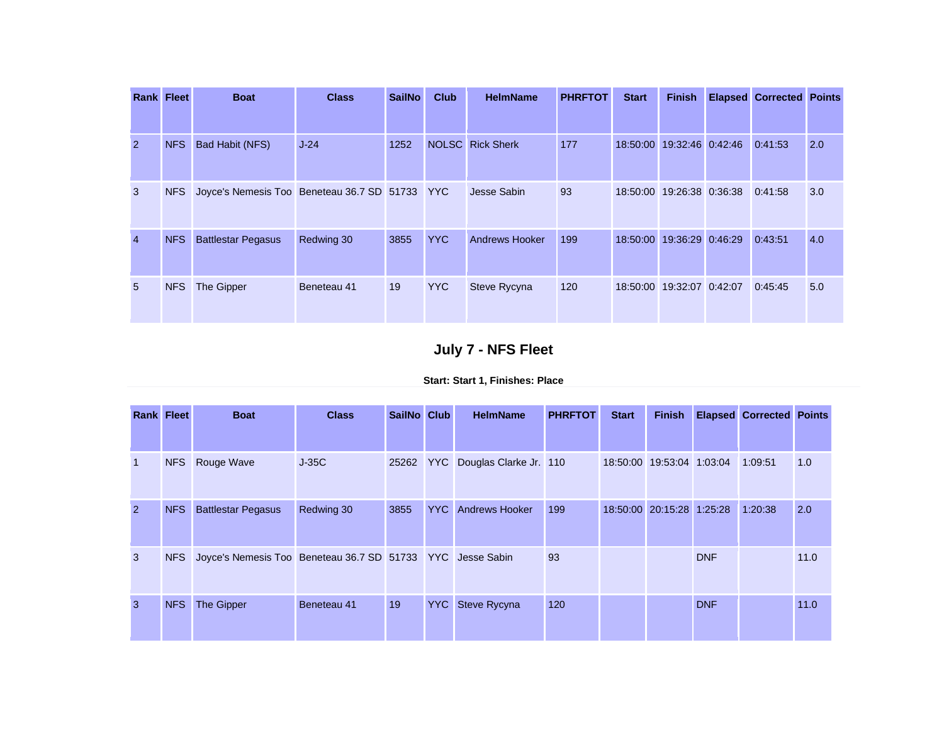| <b>Rank Fleet</b> |            | <b>Boat</b>                                    | <b>Class</b> | <b>SailNo</b> | <b>Club</b> | <b>HelmName</b>         | <b>PHRFTOT</b> | <b>Start</b> | <b>Finish</b>             |         | <b>Elapsed Corrected Points</b> |     |
|-------------------|------------|------------------------------------------------|--------------|---------------|-------------|-------------------------|----------------|--------------|---------------------------|---------|---------------------------------|-----|
| $\overline{2}$    | <b>NFS</b> | Bad Habit (NFS)                                | $J-24$       | 1252          |             | <b>NOLSC</b> Rick Sherk | 177            |              | 18:50:00 19:32:46 0:42:46 |         | 0:41:53                         | 2.0 |
| $\mathbf{3}$      | <b>NFS</b> | Joyce's Nemesis Too Beneteau 36.7 SD 51733 YYC |              |               |             | Jesse Sabin             | 93             |              | 18:50:00 19:26:38 0:36:38 |         | 0:41:58                         | 3.0 |
| $\overline{4}$    | <b>NFS</b> | <b>Battlestar Pegasus</b>                      | Redwing 30   | 3855          | <b>YYC</b>  | <b>Andrews Hooker</b>   | 199            |              | 18:50:00 19:36:29         | 0:46:29 | 0:43:51                         | 4.0 |
| 5                 | <b>NFS</b> | The Gipper                                     | Beneteau 41  | 19            | <b>YYC</b>  | Steve Rycyna            | 120            |              | 18:50:00 19:32:07 0:42:07 |         | 0:45:45                         | 5.0 |

# **July 7 - NFS Fleet**

| <b>Rank Fleet</b> |            | <b>Boat</b>                                                | <b>Class</b> | SailNo Club |            | <b>HelmName</b>        | <b>PHRFTOT</b> | <b>Start</b>      | <b>Finish</b>             |            | <b>Elapsed Corrected Points</b> |      |
|-------------------|------------|------------------------------------------------------------|--------------|-------------|------------|------------------------|----------------|-------------------|---------------------------|------------|---------------------------------|------|
| $\overline{1}$    | <b>NFS</b> | Rouge Wave                                                 | $J-35C$      | 25262       | <b>YYC</b> | Douglas Clarke Jr. 110 |                |                   | 18:50:00 19:53:04 1:03:04 |            | 1:09:51                         | 1.0  |
| $\overline{2}$    | <b>NFS</b> | <b>Battlestar Pegasus</b>                                  | Redwing 30   | 3855        | YYC.       | <b>Andrews Hooker</b>  | 199            | 18:50:00 20:15:28 |                           | 1:25:28    | 1:20:38                         | 2.0  |
| $\overline{3}$    | <b>NFS</b> | Joyce's Nemesis Too Beneteau 36.7 SD 51733 YYC Jesse Sabin |              |             |            |                        | 93             |                   |                           | <b>DNF</b> |                                 | 11.0 |
| $\overline{3}$    | <b>NFS</b> | The Gipper                                                 | Beneteau 41  | 19          | YYC        | <b>Steve Rycyna</b>    | 120            |                   |                           | <b>DNF</b> |                                 | 11.0 |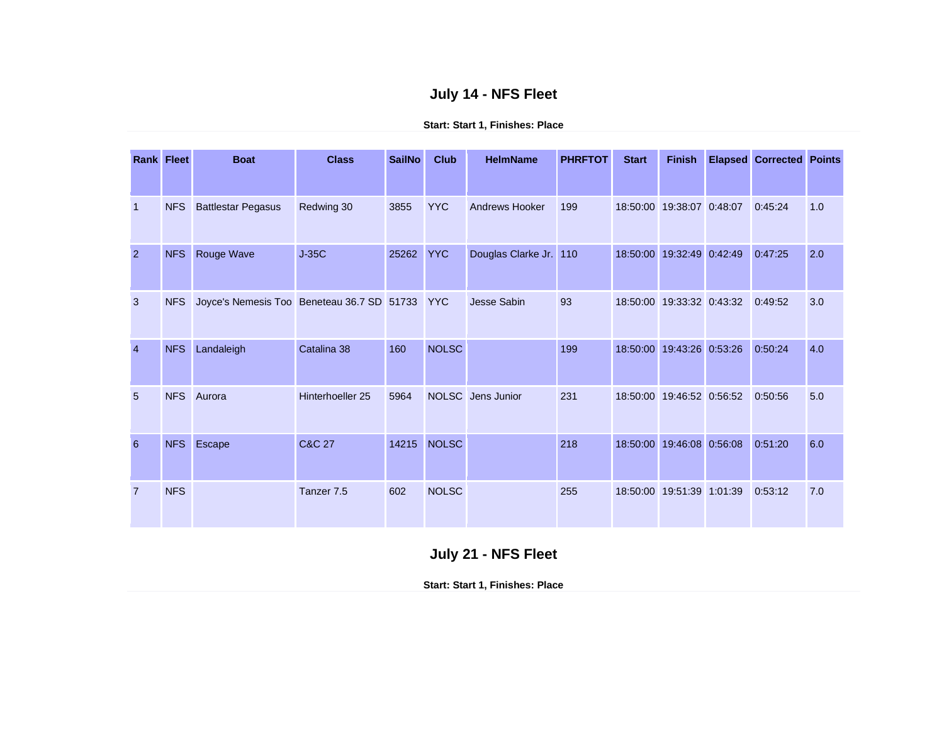# **July 14 - NFS Fleet**

**Start: Start 1, Finishes: Place**

|                 | <b>Rank Fleet</b> | <b>Boat</b>                                | <b>Class</b>     | <b>SailNo</b> | <b>Club</b>  | <b>HelmName</b>        | <b>PHRFTOT</b> | <b>Start</b> | <b>Finish</b>             | <b>Elapsed Corrected Points</b> |     |
|-----------------|-------------------|--------------------------------------------|------------------|---------------|--------------|------------------------|----------------|--------------|---------------------------|---------------------------------|-----|
| $\vert$ 1       | <b>NFS</b>        | <b>Battlestar Pegasus</b>                  | Redwing 30       | 3855          | <b>YYC</b>   | <b>Andrews Hooker</b>  | 199            |              | 18:50:00 19:38:07 0:48:07 | 0:45:24                         | 1.0 |
| $\overline{2}$  | <b>NFS</b>        | Rouge Wave                                 | $J-35C$          | 25262         | <b>YYC</b>   | Douglas Clarke Jr. 110 |                |              | 18:50:00 19:32:49 0:42:49 | 0:47:25                         | 2.0 |
| 3               | <b>NFS</b>        | Joyce's Nemesis Too Beneteau 36.7 SD 51733 |                  |               | <b>YYC</b>   | Jesse Sabin            | 93             |              | 18:50:00 19:33:32 0:43:32 | 0:49:52                         | 3.0 |
| $\overline{4}$  | <b>NFS</b>        | Landaleigh                                 | Catalina 38      | 160           | <b>NOLSC</b> |                        | 199            |              | 18:50:00 19:43:26 0:53:26 | 0:50:24                         | 4.0 |
| $5\overline{)}$ | <b>NFS</b>        | Aurora                                     | Hinterhoeller 25 | 5964          |              | NOLSC Jens Junior      | 231            |              | 18:50:00 19:46:52 0:56:52 | 0:50:56                         | 5.0 |
| 6               | <b>NFS</b>        | Escape                                     | C&C 27           | 14215         | <b>NOLSC</b> |                        | 218            |              | 18:50:00 19:46:08 0:56:08 | 0:51:20                         | 6.0 |
| $\overline{7}$  | <b>NFS</b>        |                                            | Tanzer 7.5       | 602           | <b>NOLSC</b> |                        | 255            |              | 18:50:00 19:51:39 1:01:39 | 0:53:12                         | 7.0 |

# **July 21 - NFS Fleet**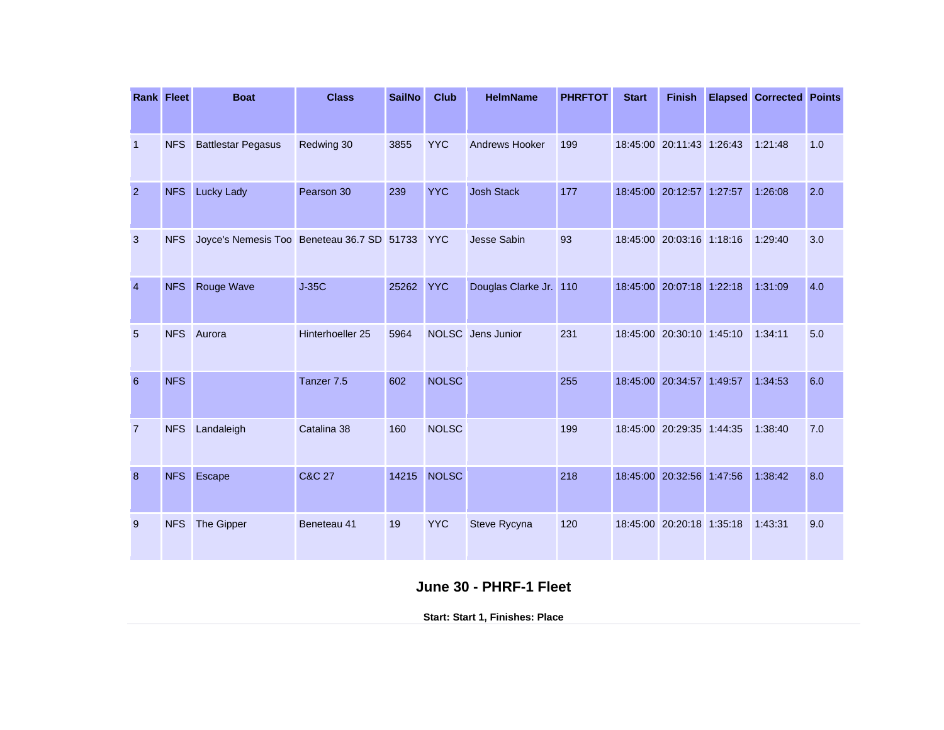| <b>Rank Fleet</b> |            | <b>Boat</b>                                    | <b>Class</b>      | <b>SailNo</b> | <b>Club</b>  | <b>HelmName</b>        | <b>PHRFTOT</b> | <b>Start</b> | <b>Finish</b>             | <b>Elapsed Corrected Points</b> |     |
|-------------------|------------|------------------------------------------------|-------------------|---------------|--------------|------------------------|----------------|--------------|---------------------------|---------------------------------|-----|
| $\overline{1}$    | <b>NFS</b> | <b>Battlestar Pegasus</b>                      | Redwing 30        | 3855          | <b>YYC</b>   | <b>Andrews Hooker</b>  | 199            |              | 18:45:00 20:11:43 1:26:43 | 1:21:48                         | 1.0 |
| $\overline{2}$    | <b>NFS</b> | <b>Lucky Lady</b>                              | Pearson 30        | 239           | <b>YYC</b>   | <b>Josh Stack</b>      | 177            |              | 18:45:00 20:12:57 1:27:57 | 1:26:08                         | 2.0 |
| $\mathbf{3}$      | <b>NFS</b> | Joyce's Nemesis Too Beneteau 36.7 SD 51733 YYC |                   |               |              | <b>Jesse Sabin</b>     | 93             |              | 18:45:00 20:03:16 1:18:16 | 1:29:40                         | 3.0 |
| $\overline{4}$    | <b>NFS</b> | Rouge Wave                                     | $J-35C$           | 25262         | <b>YYC</b>   | Douglas Clarke Jr. 110 |                |              | 18:45:00 20:07:18 1:22:18 | 1:31:09                         | 4.0 |
| 5                 | <b>NFS</b> | Aurora                                         | Hinterhoeller 25  | 5964          |              | NOLSC Jens Junior      | 231            |              | 18:45:00 20:30:10 1:45:10 | 1:34:11                         | 5.0 |
| 6                 | <b>NFS</b> |                                                | Tanzer 7.5        | 602           | <b>NOLSC</b> |                        | 255            |              | 18:45:00 20:34:57 1:49:57 | 1:34:53                         | 6.0 |
| $\overline{7}$    | <b>NFS</b> | Landaleigh                                     | Catalina 38       | 160           | <b>NOLSC</b> |                        | 199            |              | 18:45:00 20:29:35 1:44:35 | 1:38:40                         | 7.0 |
| 8                 | <b>NFS</b> | Escape                                         | <b>C&amp;C 27</b> |               | 14215 NOLSC  |                        | 218            |              | 18:45:00 20:32:56 1:47:56 | 1:38:42                         | 8.0 |
| 9                 | <b>NFS</b> | The Gipper                                     | Beneteau 41       | 19            | <b>YYC</b>   | Steve Rycyna           | 120            |              | 18:45:00 20:20:18 1:35:18 | 1:43:31                         | 9.0 |

## **June 30 - PHRF-1 Fleet**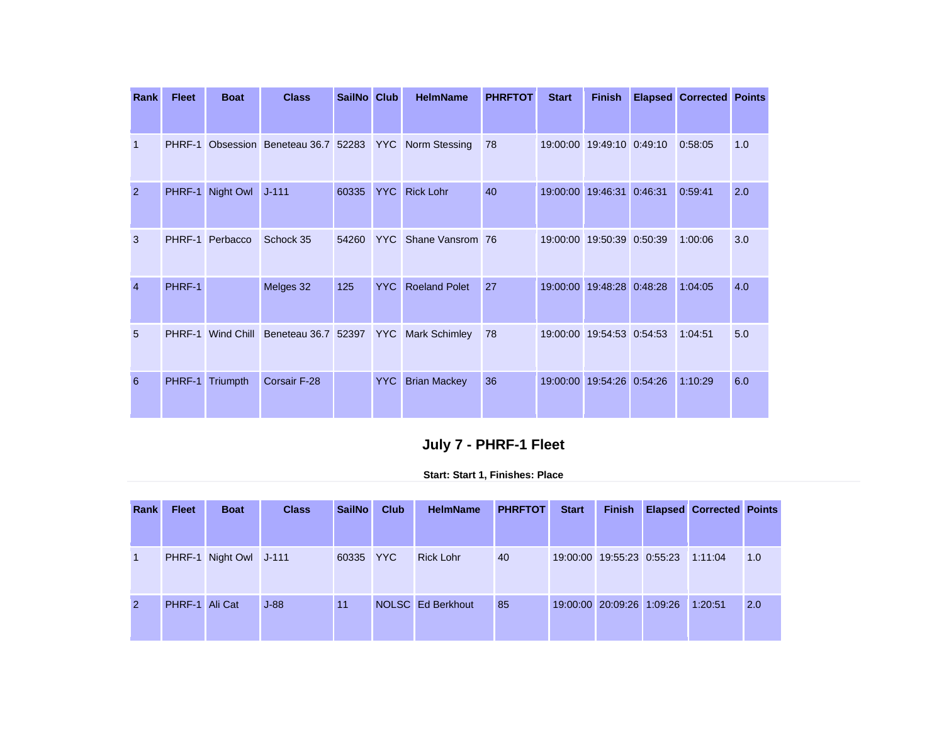| Rank           | <b>Fleet</b> | <b>Boat</b> | <b>Class</b>                   | SailNo Club |            | <b>HelmName</b>      | <b>PHRFTOT</b> | <b>Start</b> | <b>Finish</b>             | <b>Elapsed Corrected Points</b> |     |
|----------------|--------------|-------------|--------------------------------|-------------|------------|----------------------|----------------|--------------|---------------------------|---------------------------------|-----|
|                | PHRF-1       |             | Obsession Beneteau 36.7 52283  |             | YYC.       | Norm Stessing        | 78             |              | 19:00:00 19:49:10 0:49:10 | 0:58:05                         | 1.0 |
| 2              | PHRF-1       | Night Owl   | $J - 111$                      | 60335       | YYC.       | <b>Rick Lohr</b>     | 40             |              | 19:00:00 19:46:31 0:46:31 | 0:59:41                         | 2.0 |
| 3              | PHRF-1       | Perbacco    | Schock 35                      | 54260       | <b>YYC</b> | Shane Vansrom 76     |                |              | 19:00:00 19:50:39 0:50:39 | 1:00:06                         | 3.0 |
| $\overline{4}$ | PHRF-1       |             | Melges 32                      | 125         | <b>YYC</b> | <b>Roeland Polet</b> | 27             |              | 19:00:00 19:48:28 0:48:28 | 1:04:05                         | 4.0 |
| 5              | PHRF-1       |             | Wind Chill Beneteau 36.7 52397 |             | YYC        | <b>Mark Schimley</b> | 78             |              | 19:00:00 19:54:53 0:54:53 | 1:04:51                         | 5.0 |
| 6              | PHRF-1       | Triumpth    | <b>Corsair F-28</b>            |             | <b>YYC</b> | <b>Brian Mackey</b>  | 36             |              | 19:00:00 19:54:26 0:54:26 | 1:10:29                         | 6.0 |

# **July 7 - PHRF-1 Fleet**

| Rank           | <b>Fleet</b>   | <b>Boat</b>            | <b>Class</b> | <b>SailNo</b> | <b>Club</b> | <b>HelmName</b>   | <b>PHRFTOT</b> | <b>Start</b> | <b>Finish</b>             | <b>Elapsed Corrected Points</b> |     |
|----------------|----------------|------------------------|--------------|---------------|-------------|-------------------|----------------|--------------|---------------------------|---------------------------------|-----|
|                |                |                        |              |               |             |                   |                |              |                           |                                 |     |
| 1              |                | PHRF-1 Night Owl J-111 |              | 60335 YYC     |             | <b>Rick Lohr</b>  | 40             |              | 19:00:00 19:55:23 0:55:23 | 1:11:04                         | 1.0 |
| $\overline{2}$ | PHRF-1 Ali Cat |                        | $J-88$       | 11            |             | NOLSC Ed Berkhout | 85             |              | 19:00:00 20:09:26 1:09:26 | 1:20:51                         | 2.0 |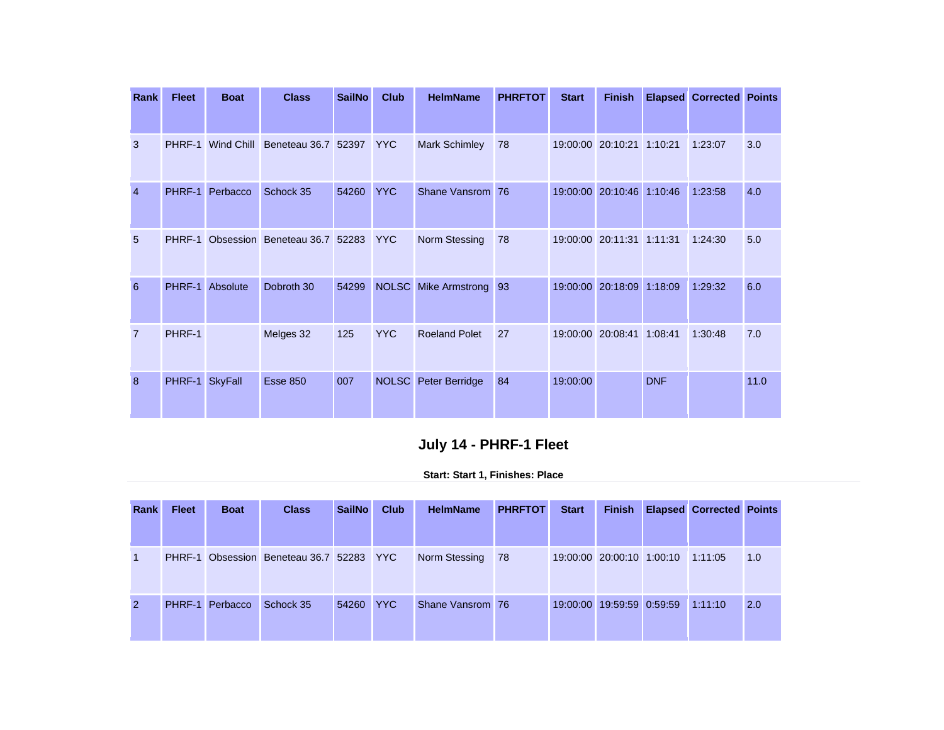| Rank           | <b>Fleet</b> | <b>Boat</b>    | <b>Class</b>                  | <b>SailNo</b> | <b>Club</b>  | <b>HelmName</b>             | <b>PHRFTOT</b> | <b>Start</b> | <b>Finish</b>             |            | <b>Elapsed Corrected Points</b> |      |
|----------------|--------------|----------------|-------------------------------|---------------|--------------|-----------------------------|----------------|--------------|---------------------------|------------|---------------------------------|------|
| 3              | PHRF-1       | Wind Chill     | Beneteau 36.7 52397           |               | <b>YYC</b>   | <b>Mark Schimley</b>        | 78             |              | 19:00:00 20:10:21 1:10:21 |            | 1:23:07                         | 3.0  |
| $\overline{4}$ | PHRF-1       | Perbacco       | Schock 35                     | 54260         | <b>YYC</b>   | Shane Vansrom               | 76             |              | 19:00:00 20:10:46 1:10:46 |            | 1:23:58                         | 4.0  |
| 5              | PHRF-1       |                | Obsession Beneteau 36.7 52283 |               | <b>YYC</b>   | Norm Stessing               | 78             |              | 19:00:00 20:11:31 1:11:31 |            | 1:24:30                         | 5.0  |
| 6              | PHRF-1       | Absolute       | Dobroth 30                    | 54299         | <b>NOLSC</b> | Mike Armstrong              | 93             |              | 19:00:00 20:18:09 1:18:09 |            | 1:29:32                         | 6.0  |
| $\overline{7}$ | PHRF-1       |                | Melges 32                     | 125           | <b>YYC</b>   | <b>Roeland Polet</b>        | 27             |              | 19:00:00 20:08:41         | 1:08:41    | 1:30:48                         | 7.0  |
| 8              | PHRF-1       | <b>SkyFall</b> | <b>Esse 850</b>               | 007           |              | <b>NOLSC</b> Peter Berridge | 84             | 19:00:00     |                           | <b>DNF</b> |                                 | 11.0 |

# **July 14 - PHRF-1 Fleet**

| Rank           | <b>Fleet</b> | <b>Boat</b>     | <b>Class</b>                             | <b>SailNo</b> | Club | <b>HelmName</b>  | <b>PHRFTOT</b> | <b>Start</b> | <b>Finish</b>             | <b>Elapsed Corrected Points</b> |     |
|----------------|--------------|-----------------|------------------------------------------|---------------|------|------------------|----------------|--------------|---------------------------|---------------------------------|-----|
|                |              |                 |                                          |               |      |                  |                |              |                           |                                 |     |
| -1             |              |                 | PHRF-1 Obsession Beneteau 36.7 52283 YYC |               |      | Norm Stessing 78 |                |              | 19:00:00 20:00:10 1:00:10 | 1:11:05                         | 1.0 |
| $\overline{2}$ |              | PHRF-1 Perbacco | Schock 35                                | 54260 YYC     |      | Shane Vansrom 76 |                |              | 19:00:00 19:59:59 0:59:59 | 1:11:10                         | 2.0 |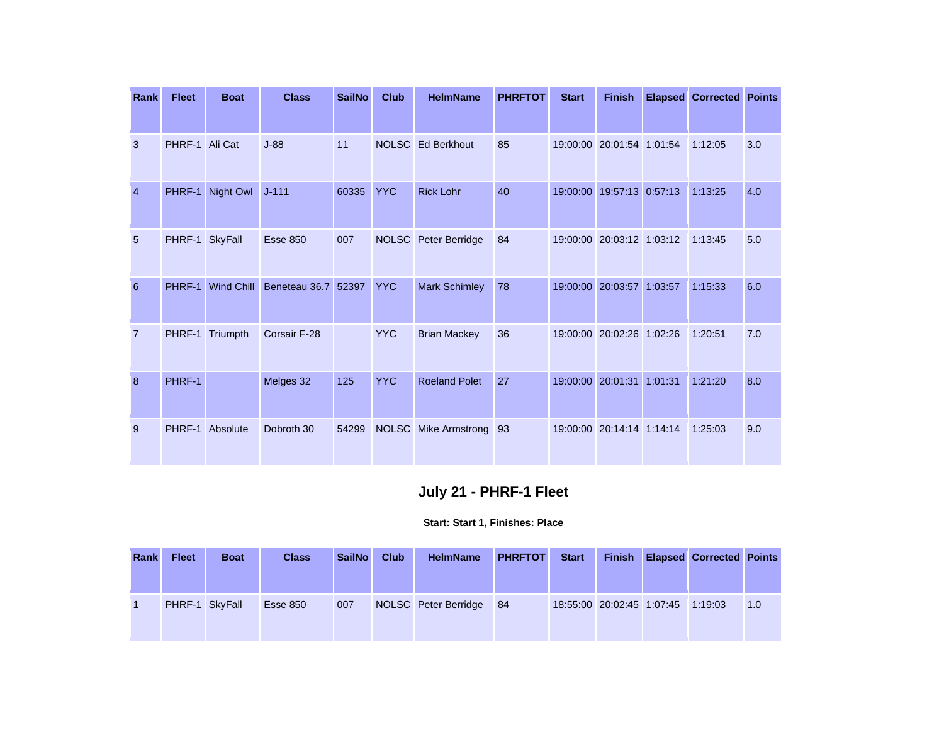| Rank           | <b>Fleet</b>   | <b>Boat</b>     | <b>Class</b>                   | <b>SailNo</b> | <b>Club</b> | <b>HelmName</b>             | <b>PHRFTOT</b> | <b>Start</b> | <b>Finish</b>             |         | <b>Elapsed Corrected Points</b> |     |
|----------------|----------------|-----------------|--------------------------------|---------------|-------------|-----------------------------|----------------|--------------|---------------------------|---------|---------------------------------|-----|
| 3              | PHRF-1 Ali Cat |                 | $J-88$                         | 11            |             | NOLSC Ed Berkhout           | 85             |              | 19:00:00 20:01:54 1:01:54 |         | 1:12:05                         | 3.0 |
| $\overline{4}$ | PHRF-1         | Night Owl       | $J-111$                        | 60335         | <b>YYC</b>  | <b>Rick Lohr</b>            | 40             | 19:00:00     | 19:57:13 0:57:13          |         | 1:13:25                         | 4.0 |
| 5              | PHRF-1 SkyFall |                 | <b>Esse 850</b>                | 007           |             | NOLSC Peter Berridge        | 84             |              | 19:00:00 20:03:12 1:03:12 |         | 1:13:45                         | 5.0 |
| 6              | PHRF-1         |                 | Wind Chill Beneteau 36.7 52397 |               | <b>YYC</b>  | <b>Mark Schimley</b>        | 78             |              | 19:00:00 20:03:57         | 1:03:57 | 1:15:33                         | 6.0 |
| $\overline{7}$ | PHRF-1         | Triumpth        | Corsair F-28                   |               | <b>YYC</b>  | <b>Brian Mackey</b>         | 36             |              | 19:00:00 20:02:26 1:02:26 |         | 1:20:51                         | 7.0 |
| 8              | PHRF-1         |                 | Melges 32                      | 125           | <b>YYC</b>  | <b>Roeland Polet</b>        | 27             |              | 19:00:00 20:01:31         | 1:01:31 | 1:21:20                         | 8.0 |
| 9              |                | PHRF-1 Absolute | Dobroth 30                     | 54299         |             | <b>NOLSC</b> Mike Armstrong | 93             |              | 19:00:00 20:14:14 1:14:14 |         | 1:25:03                         | 9.0 |

# **July 21 - PHRF-1 Fleet**

| <b>Rank</b> | <b>Fleet</b>   | <b>Boat</b> | <b>Class</b> | <b>SailNo</b> | <b>Club</b> | <b>HelmName</b>         | <b>PHRFTOT</b> | <b>Start</b> | <b>Finish</b>                     | <b>Elapsed Corrected Points</b> |     |
|-------------|----------------|-------------|--------------|---------------|-------------|-------------------------|----------------|--------------|-----------------------------------|---------------------------------|-----|
|             | PHRF-1 SkyFall |             | Esse 850     | 007           |             | NOLSC Peter Berridge 84 |                |              | 18:55:00 20:02:45 1:07:45 1:19:03 |                                 | 1.0 |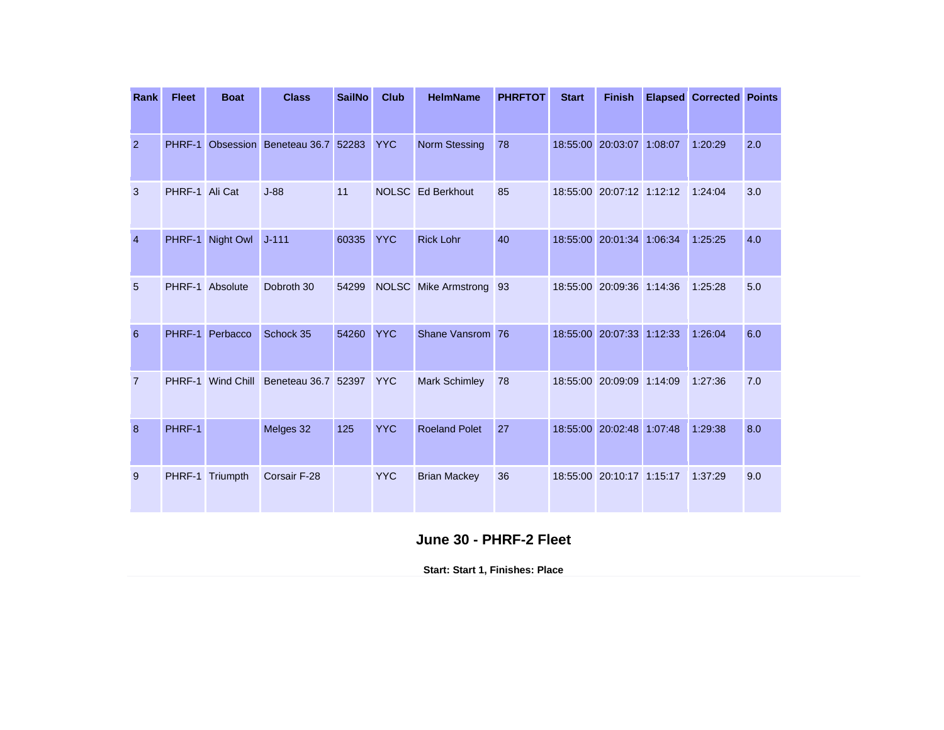| Rank           | <b>Fleet</b>   | <b>Boat</b>            | <b>Class</b>                          | <b>SailNo</b> | <b>Club</b> | <b>HelmName</b>      | <b>PHRFTOT</b> | <b>Start</b> | <b>Finish</b>             | <b>Elapsed Corrected Points</b> |     |
|----------------|----------------|------------------------|---------------------------------------|---------------|-------------|----------------------|----------------|--------------|---------------------------|---------------------------------|-----|
| $\overline{2}$ | PHRF-1         |                        | Obsession Beneteau 36.7 52283         |               | <b>YYC</b>  | <b>Norm Stessing</b> | 78             |              | 18:55:00 20:03:07 1:08:07 | 1:20:29                         | 2.0 |
| 3              | PHRF-1 Ali Cat |                        | $J-88$                                | 11            |             | NOLSC Ed Berkhout    | 85             |              | 18:55:00 20:07:12 1:12:12 | 1:24:04                         | 3.0 |
| $\overline{4}$ |                | PHRF-1 Night Owl J-111 |                                       | 60335         | <b>YYC</b>  | <b>Rick Lohr</b>     | 40             |              | 18:55:00 20:01:34 1:06:34 | 1:25:25                         | 4.0 |
| 5              |                | PHRF-1 Absolute        | Dobroth 30                            | 54299         |             | NOLSC Mike Armstrong | 93             |              | 18:55:00 20:09:36 1:14:36 | 1:25:28                         | 5.0 |
| 6              |                | PHRF-1 Perbacco        | Schock 35                             | 54260         | <b>YYC</b>  | Shane Vansrom 76     |                |              | 18:55:00 20:07:33 1:12:33 | 1:26:04                         | 6.0 |
| $\overline{7}$ |                |                        | PHRF-1 Wind Chill Beneteau 36.7 52397 |               | <b>YYC</b>  | Mark Schimley        | 78             |              | 18:55:00 20:09:09 1:14:09 | 1:27:36                         | 7.0 |
| 8              | PHRF-1         |                        | Melges 32                             | 125           | <b>YYC</b>  | <b>Roeland Polet</b> | 27             |              | 18:55:00 20:02:48 1:07:48 | 1:29:38                         | 8.0 |
| 9              | PHRF-1         | Triumpth               | <b>Corsair F-28</b>                   |               | <b>YYC</b>  | <b>Brian Mackey</b>  | 36             |              | 18:55:00 20:10:17 1:15:17 | 1:37:29                         | 9.0 |

## **June 30 - PHRF-2 Fleet**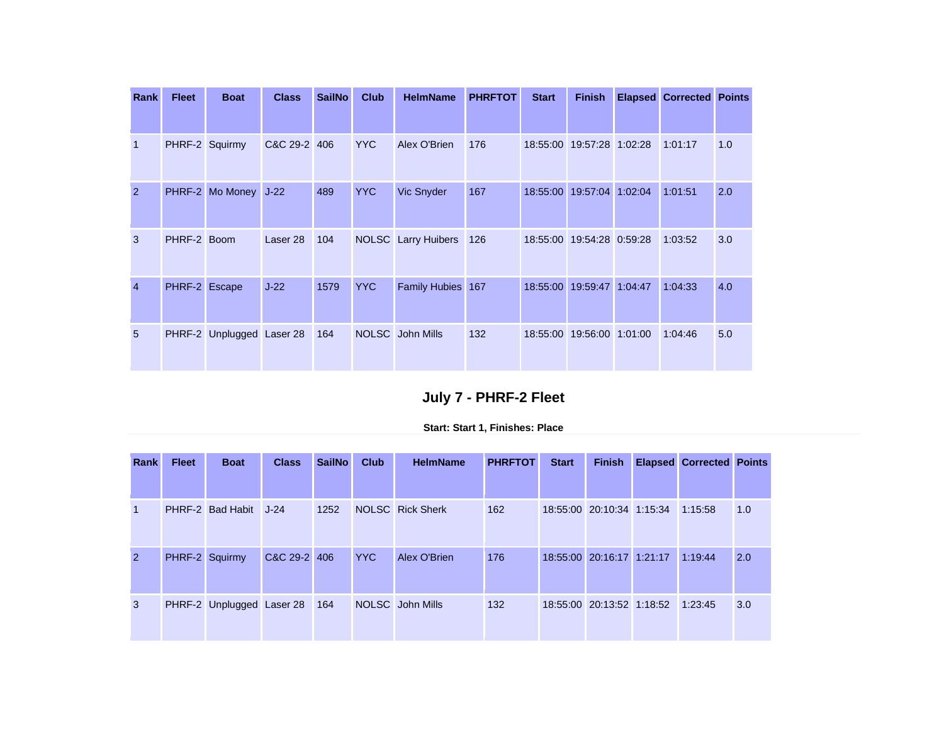| <b>Rank</b>    | <b>Fleet</b>  | <b>Boat</b>               | <b>Class</b> | <b>SailNo</b> | <b>Club</b> | <b>HelmName</b>            | <b>PHRFTOT</b> | <b>Start</b> | <b>Finish</b>             | <b>Elapsed Corrected Points</b> |     |
|----------------|---------------|---------------------------|--------------|---------------|-------------|----------------------------|----------------|--------------|---------------------------|---------------------------------|-----|
| 1              |               | PHRF-2 Squirmy            | C&C 29-2 406 |               | <b>YYC</b>  | Alex O'Brien               | 176            |              | 18:55:00 19:57:28 1:02:28 | 1:01:17                         | 1.0 |
| $\overline{2}$ |               | PHRF-2 Mo Money J-22      |              | 489           | <b>YYC</b>  | <b>Vic Snyder</b>          | 167            | 18:55:00     | 19:57:04 1:02:04          | 1:01:51                         | 2.0 |
| 3              | PHRF-2 Boom   |                           | Laser 28     | 104           |             | <b>NOLSC</b> Larry Huibers | 126            |              | 18:55:00 19:54:28 0:59:28 | 1:03:52                         | 3.0 |
| $\overline{4}$ | PHRF-2 Escape |                           | $J-22$       | 1579          | <b>YYC</b>  | <b>Family Hubies</b>       | 167            | 18:55:00     | 19:59:47 1:04:47          | 1:04:33                         | 4.0 |
| 5              |               | PHRF-2 Unplugged Laser 28 |              | 164           |             | NOLSC John Mills           | 132            |              | 18:55:00 19:56:00 1:01:00 | 1:04:46                         | 5.0 |

# **July 7 - PHRF-2 Fleet**

| Start: Start 1, Finishes: Place |  |  |  |
|---------------------------------|--|--|--|
|---------------------------------|--|--|--|

| Rank           | <b>Fleet</b> | <b>Boat</b>               | <b>Class</b> | <b>SailNo</b> | <b>Club</b> | <b>HelmName</b>         | <b>PHRFTOT</b> | <b>Start</b> | <b>Finish</b>                     | <b>Elapsed Corrected Points</b> |     |
|----------------|--------------|---------------------------|--------------|---------------|-------------|-------------------------|----------------|--------------|-----------------------------------|---------------------------------|-----|
|                |              |                           |              |               |             |                         |                |              |                                   |                                 |     |
|                |              | PHRF-2 Bad Habit J-24     |              | 1252          |             | <b>NOLSC</b> Rick Sherk | 162            |              | 18:55:00 20:10:34 1:15:34         | 1:15:58                         | 1.0 |
| $\overline{2}$ |              | PHRF-2 Squirmy            | C&C 29-2 406 |               | <b>YYC</b>  | Alex O'Brien            | 176            |              | 18:55:00 20:16:17 1:21:17         | 1:19:44                         | 2.0 |
| 3              |              | PHRF-2 Unplugged Laser 28 |              | 164           |             | NOLSC John Mills        | 132            |              | 18:55:00 20:13:52 1:18:52 1:23:45 |                                 | 3.0 |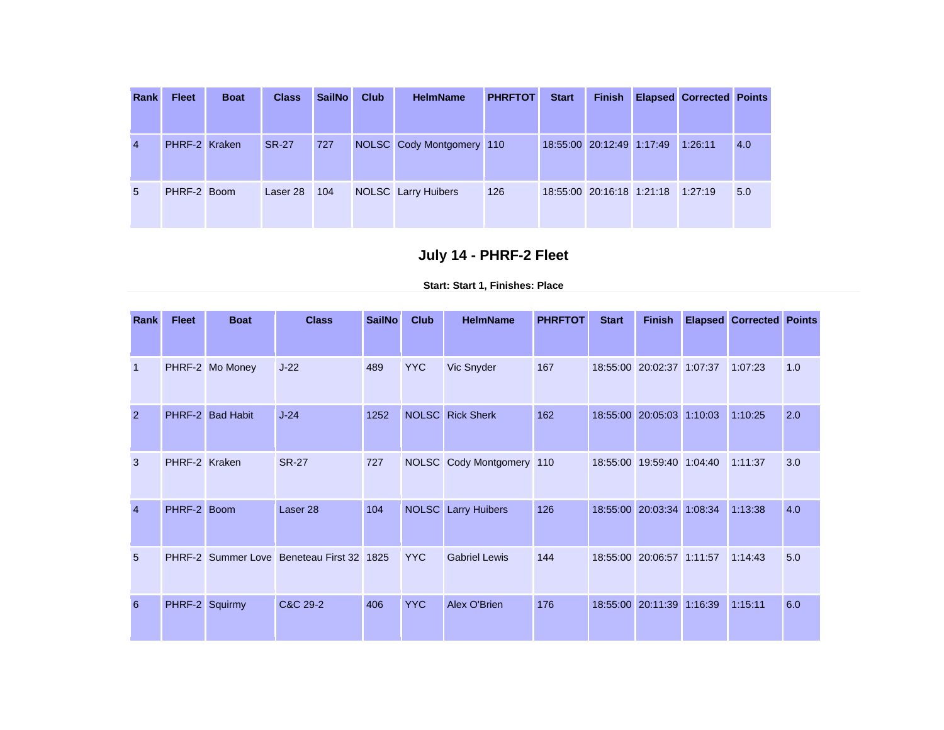| <b>Rank</b>    | <b>Fleet</b>         | <b>Boat</b> | <b>Class</b> | <b>SailNo</b> | Club | <b>HelmName</b>            | <b>PHRFTOT</b> | <b>Start</b> | <b>Finish</b>             | <b>Elapsed Corrected Points</b> |     |
|----------------|----------------------|-------------|--------------|---------------|------|----------------------------|----------------|--------------|---------------------------|---------------------------------|-----|
| $\overline{4}$ | <b>PHRF-2 Kraken</b> |             | <b>SR-27</b> | 727           |      | NOLSC Cody Montgomery 110  |                |              | 18:55:00 20:12:49 1:17:49 | 1:26:11                         | 4.0 |
| 5              | PHRF-2 Boom          |             | Laser 28     | 104           |      | <b>NOLSC</b> Larry Huibers | 126            |              | 18:55:00 20:16:18 1:21:18 | 1:27:19                         | 5.0 |

# **July 14 - PHRF-2 Fleet**

| Rank           | <b>Fleet</b>  | <b>Boat</b>      | <b>Class</b>                              | <b>SailNo</b> | <b>Club</b> | <b>HelmName</b>            | <b>PHRFTOT</b> | <b>Start</b> | <b>Finish</b>             | <b>Elapsed Corrected Points</b> |     |
|----------------|---------------|------------------|-------------------------------------------|---------------|-------------|----------------------------|----------------|--------------|---------------------------|---------------------------------|-----|
|                |               |                  |                                           |               |             |                            |                |              |                           |                                 |     |
| $\overline{1}$ |               | PHRF-2 Mo Money  | $J-22$                                    | 489           | <b>YYC</b>  | Vic Snyder                 | 167            |              | 18:55:00 20:02:37 1:07:37 | 1:07:23                         | 1.0 |
| 2              |               | PHRF-2 Bad Habit | $J-24$                                    | 1252          |             | <b>NOLSC</b> Rick Sherk    | 162            |              | 18:55:00 20:05:03 1:10:03 | 1:10:25                         | 2.0 |
| 3              | PHRF-2 Kraken |                  | <b>SR-27</b>                              | 727           |             | NOLSC Cody Montgomery 110  |                |              | 18:55:00 19:59:40 1:04:40 | 1:11:37                         | 3.0 |
| $\overline{4}$ | PHRF-2 Boom   |                  | Laser <sub>28</sub>                       | 104           |             | <b>NOLSC</b> Larry Huibers | 126            |              | 18:55:00 20:03:34 1:08:34 | 1:13:38                         | 4.0 |
| 5              |               |                  | PHRF-2 Summer Love Beneteau First 32 1825 |               | <b>YYC</b>  | <b>Gabriel Lewis</b>       | 144            |              | 18:55:00 20:06:57 1:11:57 | 1:14:43                         | 5.0 |
| 6              | PHRF-2        | Squirmy          | C&C 29-2                                  | 406           | <b>YYC</b>  | Alex O'Brien               | 176            | 18:55:00     | 20:11:39 1:16:39          | 1:15:11                         | 6.0 |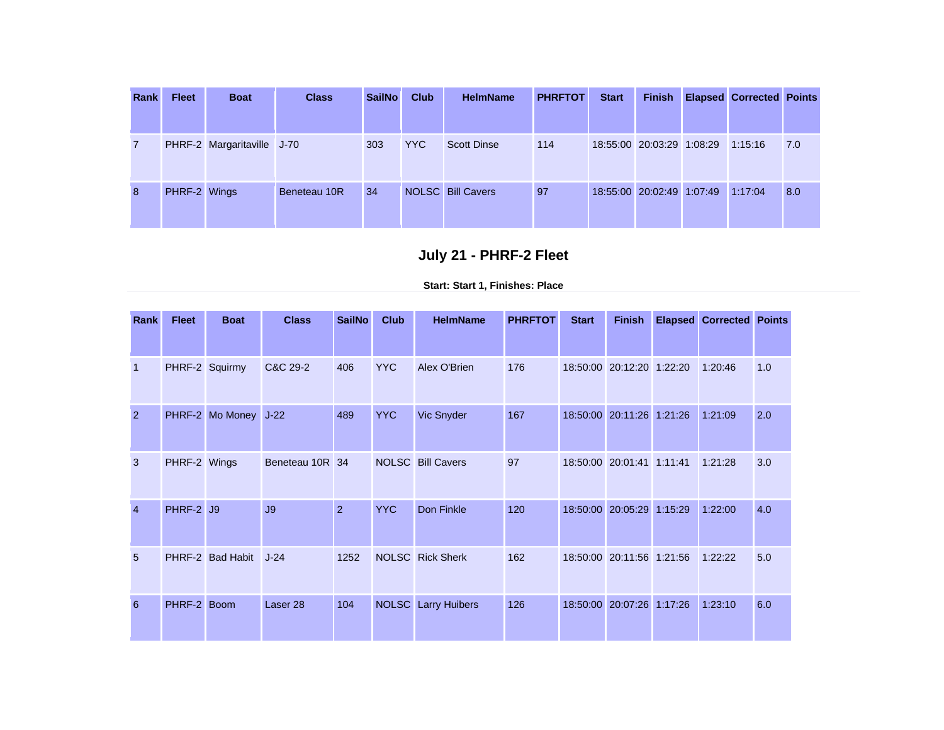| <b>Rank</b>    | <b>Fleet</b> | <b>Boat</b>                | <b>Class</b> | <b>SailNo</b> | <b>Club</b> | <b>HelmName</b>          | <b>PHRFTOT</b> | <b>Start</b> | <b>Finish</b>             | <b>Elapsed Corrected Points</b> |     |
|----------------|--------------|----------------------------|--------------|---------------|-------------|--------------------------|----------------|--------------|---------------------------|---------------------------------|-----|
| $\overline{7}$ |              | PHRF-2 Margaritaville J-70 |              | 303           | <b>YYC</b>  | <b>Scott Dinse</b>       | 114            |              | 18:55:00 20:03:29 1:08:29 | 1:15:16                         | 7.0 |
| 8              | PHRF-2 Wings |                            | Beneteau 10R | 34            |             | <b>NOLSC</b> Bill Cavers | 97             |              | 18:55:00 20:02:49 1:07:49 | 1:17:04                         | 8.0 |

### **July 21 - PHRF-2 Fleet**

| Rank           | <b>Fleet</b> | <b>Boat</b>      | <b>Class</b>    | <b>SailNo</b>  | <b>Club</b>  | <b>HelmName</b>         | <b>PHRFTOT</b> | <b>Start</b> | <b>Finish</b>             | <b>Elapsed</b> | <b>Corrected Points</b> |     |
|----------------|--------------|------------------|-----------------|----------------|--------------|-------------------------|----------------|--------------|---------------------------|----------------|-------------------------|-----|
| -1             |              | PHRF-2 Squirmy   | C&C 29-2        | 406            | <b>YYC</b>   | Alex O'Brien            | 176            |              | 18:50:00 20:12:20 1:22:20 |                | 1:20:46                 | 1.0 |
| $\overline{2}$ | PHRF-2       | Mo Money         | $J-22$          | 489            | <b>YYC</b>   | Vic Snyder              | 167            |              | 18:50:00 20:11:26 1:21:26 |                | 1:21:09                 | 2.0 |
| 3              | PHRF-2 Wings |                  | Beneteau 10R 34 |                | <b>NOLSC</b> | <b>Bill Cavers</b>      | 97             |              | 18:50:00 20:01:41 1:11:41 |                | 1:21:28                 | 3.0 |
| $\overline{4}$ | PHRF-2 J9    |                  | J9              | $\overline{2}$ | <b>YYC</b>   | Don Finkle              | 120            |              | 18:50:00 20:05:29 1:15:29 |                | 1:22:00                 | 4.0 |
| 5              |              | PHRF-2 Bad Habit | $J-24$          | 1252           |              | <b>NOLSC</b> Rick Sherk | 162            |              | 18:50:00 20:11:56 1:21:56 |                | 1:22:22                 | 5.0 |
| 6              | PHRF-2 Boom  |                  | Laser 28        | 104            | <b>NOLSC</b> | <b>Larry Huibers</b>    | 126            |              | 18:50:00 20:07:26 1:17:26 |                | 1:23:10                 | 6.0 |